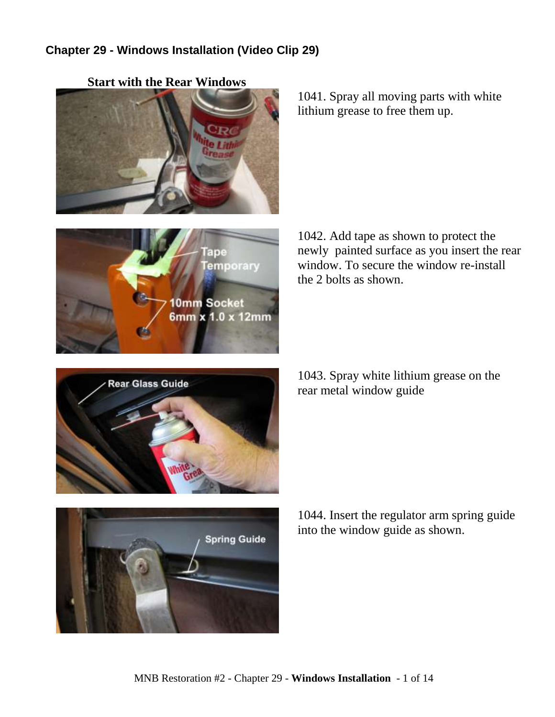## **Chapter 29 - Windows Installation (Video Clip 29)**



1041. Spray all moving parts with white lithium grease to free them up.



1042. Add tape as shown to protect the newly painted surface as you insert the rear window. To secure the window re-install the 2 bolts as shown.



1043. Spray white lithium grease on the rear metal window guide



1044. Insert the regulator arm spring guide into the window guide as shown.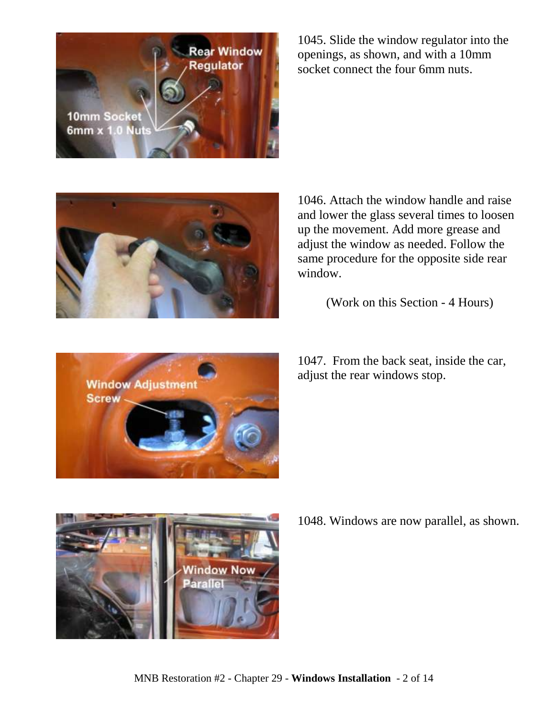**Rear Window Requlator 10mm Socket** 6mm x 1.0 Nuts

1045. Slide the window regulator into the openings, as shown, and with a 10mm socket connect the four 6mm nuts.



1046. Attach the window handle and raise and lower the glass several times to loosen up the movement. Add more grease and adjust the window as needed. Follow the same procedure for the opposite side rear window.

(Work on this Section - 4 Hours)



1047. From the back seat, inside the car, adjust the rear windows stop.



1048. Windows are now parallel, as shown.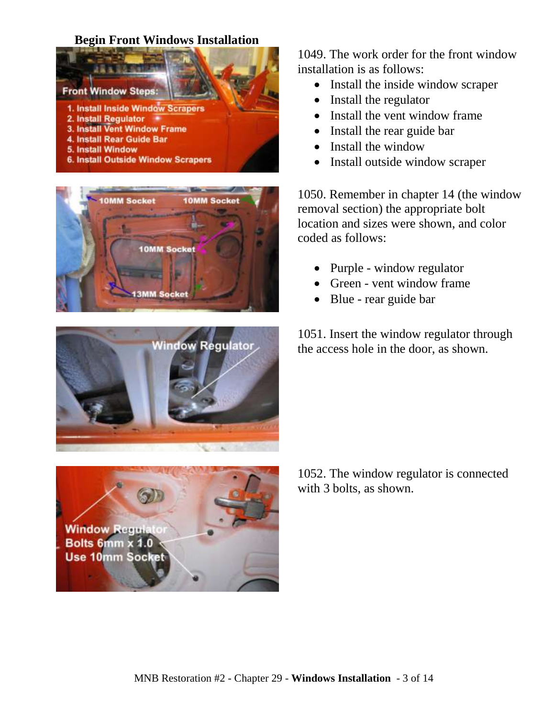## **Begin Front Windows Installation**









1049. The work order for the front window installation is as follows:

- Install the inside window scraper
- Install the regulator
- Install the vent window frame
- Install the rear guide bar
- Install the window
- Install outside window scraper

1050. Remember in chapter 14 (the window removal section) the appropriate bolt location and sizes were shown, and color coded as follows:

- Purple window regulator
- Green vent window frame
- Blue rear guide bar

1051. Insert the window regulator through the access hole in the door, as shown.

1052. The window regulator is connected with 3 bolts, as shown.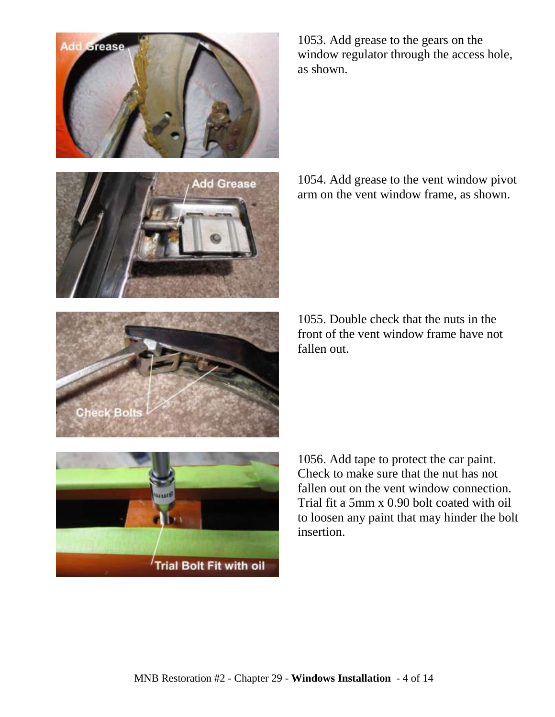



1053. Add grease to the gears on the window regulator through the access hole, as shown.

1054. Add grease to the vent window pivot arm on the vent window frame, as shown.

1055. Double check that the nuts in the front of the vent window frame have not fallen out.



1056. Add tape to protect the car paint. Check to make sure that the nut has not fallen out on the vent window connection. Trial fit a 5mm x 0.90 bolt coated with oil to loosen any paint that may hinder the bolt insertion.

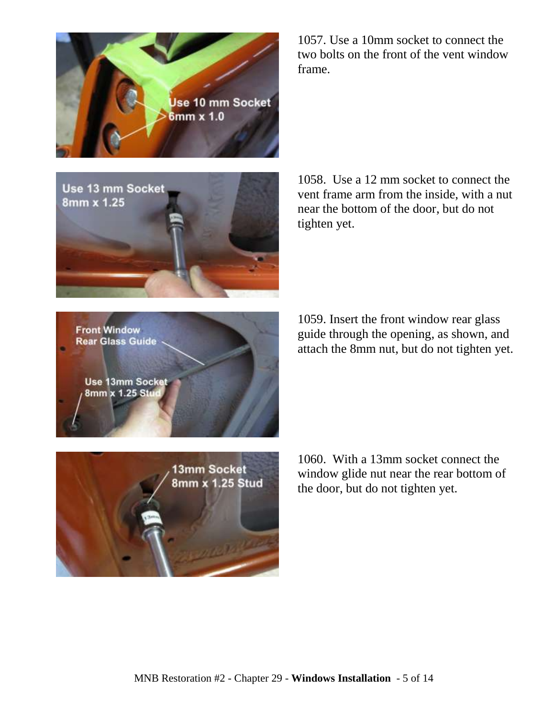

Use 13 mm Socket 8mm x 1.25

1057. Use a 10mm socket to connect the two bolts on the front of the vent window frame.

1058. Use a 12 mm socket to connect the vent frame arm from the inside, with a nut near the bottom of the door, but do not tighten yet.

1059. Insert the front window rear glass guide through the opening, as shown, and attach the 8mm nut, but do not tighten yet.

**Use 13mm Socket** 8mm x 1.25 Stur

**Front Window Rear Glass Guide** 



1060. With a 13mm socket connect the window glide nut near the rear bottom of the door, but do not tighten yet.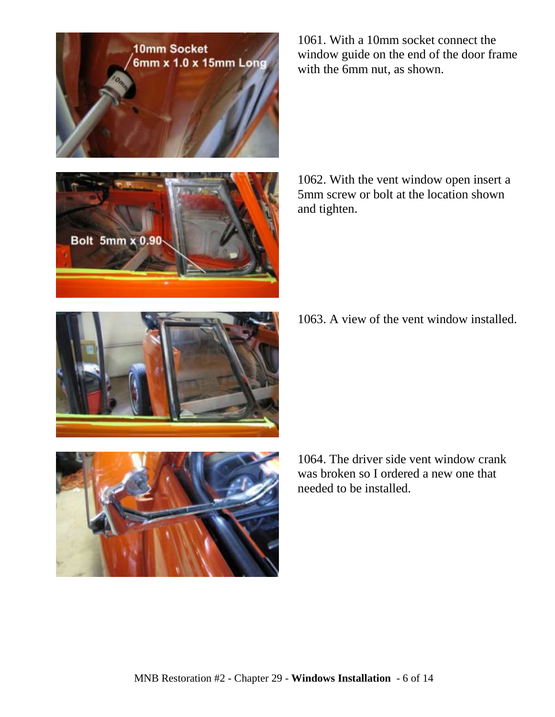



1061. With a 10mm socket connect the window guide on the end of the door frame with the 6mm nut, as shown.

1062. With the vent window open insert a 5mm screw or bolt at the location shown and tighten.

1063. A view of the vent window installed.





1064. The driver side vent window crank was broken so I ordered a new one that needed to be installed.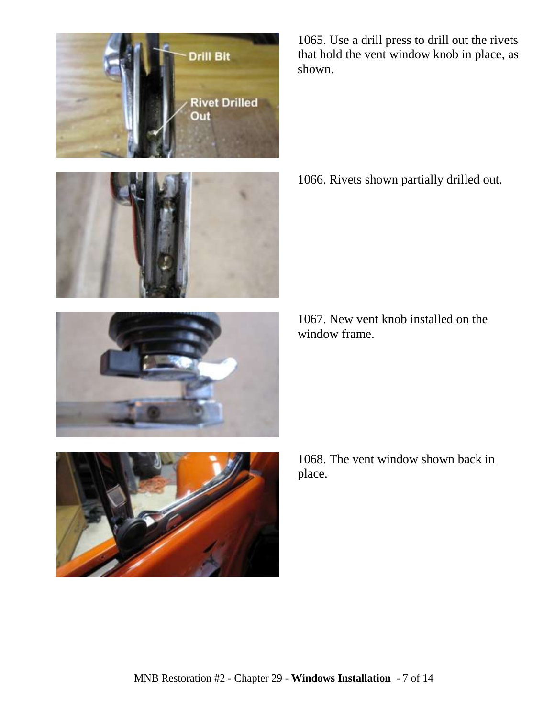





1065. Use a drill press to drill out the rivets that hold the vent window knob in place, as shown.

1066. Rivets shown partially drilled out.

1067. New vent knob installed on the window frame.



1068. The vent window shown back in place.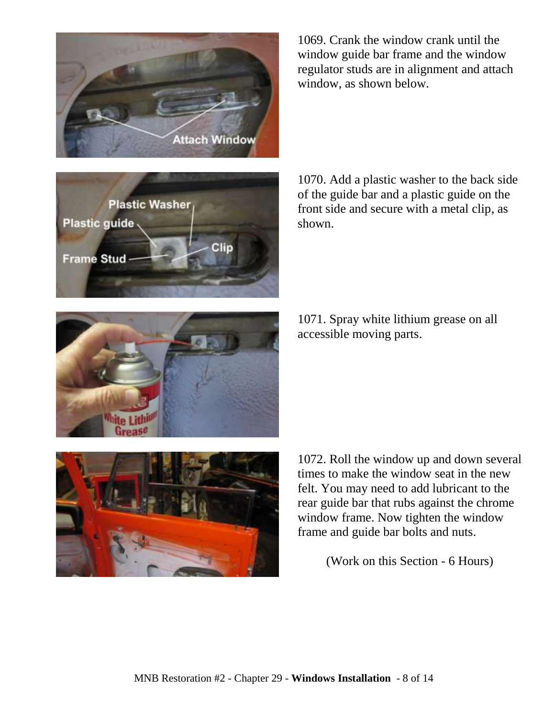



1069. Crank the window crank until the window guide bar frame and the window regulator studs are in alignment and attach window, as shown below.

1070. Add a plastic washer to the back side of the guide bar and a plastic guide on the front side and secure with a metal clip, as shown.

1071. Spray white lithium grease on all accessible moving parts.





1072. Roll the window up and down several times to make the window seat in the new felt. You may need to add lubricant to the rear guide bar that rubs against the chrome window frame. Now tighten the window frame and guide bar bolts and nuts.

(Work on this Section - 6 Hours)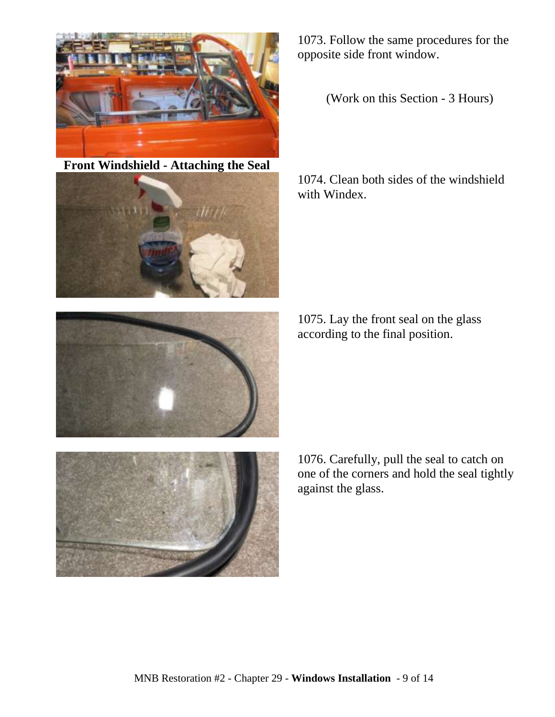

**Front Windshield - Attaching the Seal**





1073. Follow the same procedures for the opposite side front window.

(Work on this Section - 3 Hours)

1074. Clean both sides of the windshield with Windex.

1075. Lay the front seal on the glass according to the final position.

1076. Carefully, pull the seal to catch on one of the corners and hold the seal tightly against the glass.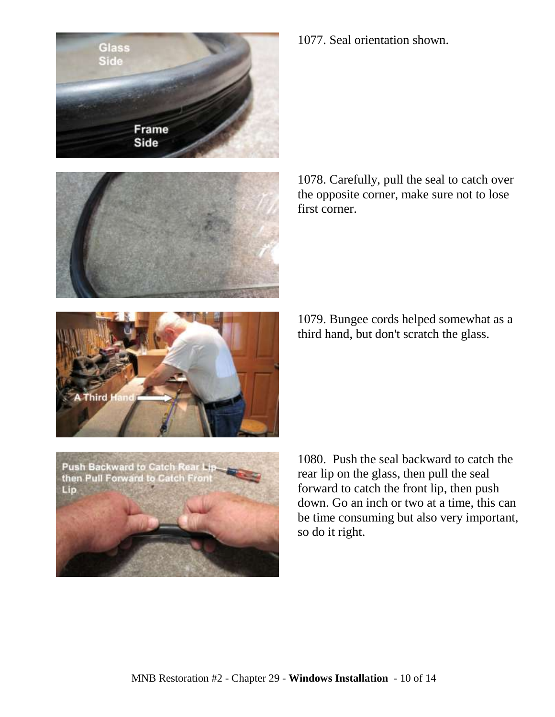



1077. Seal orientation shown.

1078. Carefully, pull the seal to catch over the opposite corner, make sure not to lose first corner.

1079. Bungee cords helped somewhat as a third hand, but don't scratch the glass.





1080. Push the seal backward to catch the rear lip on the glass, then pull the seal forward to catch the front lip, then push down. Go an inch or two at a time, this can be time consuming but also very important, so do it right.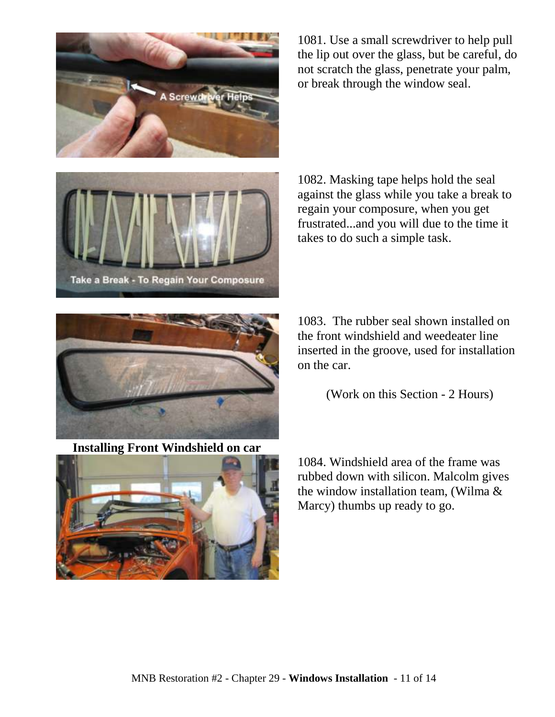

1081. Use a small screwdriver to help pull the lip out over the glass, but be careful, do not scratch the glass, penetrate your palm, or break through the window seal.



1082. Masking tape helps hold the seal against the glass while you take a break to regain your composure, when you get frustrated...and you will due to the time it takes to do such a simple task.



**Installing Front Windshield on car**



1083. The rubber seal shown installed on the front windshield and weedeater line inserted in the groove, used for installation on the car.

(Work on this Section - 2 Hours)

1084. Windshield area of the frame was rubbed down with silicon. Malcolm gives the window installation team, (Wilma & Marcy) thumbs up ready to go.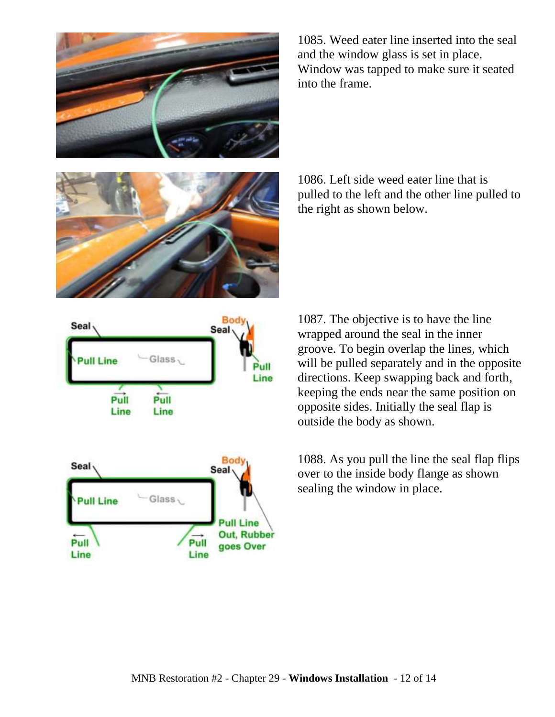



Boc Seal Seal Glass, **Pull Line** Pull Line Pull Pull Line Line



1085. Weed eater line inserted into the seal and the window glass is set in place. Window was tapped to make sure it seated into the frame.

1086. Left side weed eater line that is pulled to the left and the other line pulled to the right as shown below.

1087. The objective is to have the line wrapped around the seal in the inner groove. To begin overlap the lines, which will be pulled separately and in the opposite directions. Keep swapping back and forth, keeping the ends near the same position on opposite sides. Initially the seal flap is outside the body as shown.

1088. As you pull the line the seal flap flips over to the inside body flange as shown sealing the window in place.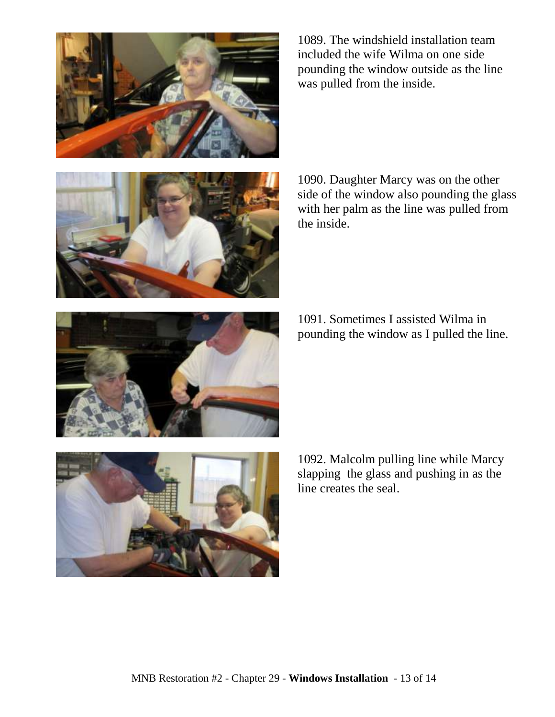

1089. The windshield installation team included the wife Wilma on one side pounding the window outside as the line was pulled from the inside.



1090. Daughter Marcy was on the other side of the window also pounding the glass with her palm as the line was pulled from the inside.

1091. Sometimes I assisted Wilma in pounding the window as I pulled the line.



1092. Malcolm pulling line while Marcy slapping the glass and pushing in as the line creates the seal.